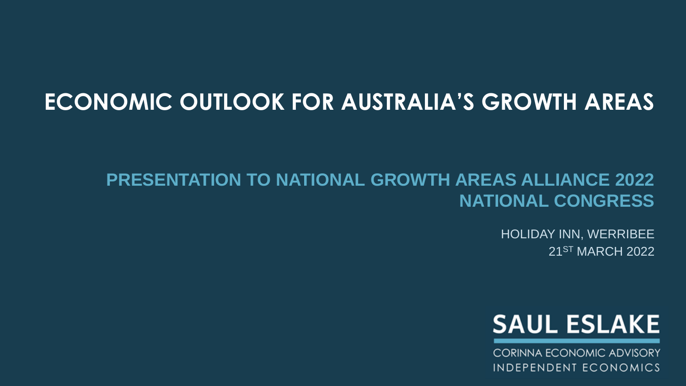# **ECONOMIC OUTLOOK FOR AUSTRALIA'S GROWTH AREAS**

## **PRESENTATION TO NATIONAL GROWTH AREAS ALLIANCE 2022 NATIONAL CONGRESS**

HOLIDAY INN, WERRIBEE 21ST MARCH 2022



**CORINNA ECONOMIC ADVISORY** INDEPENDENT ECONOMICS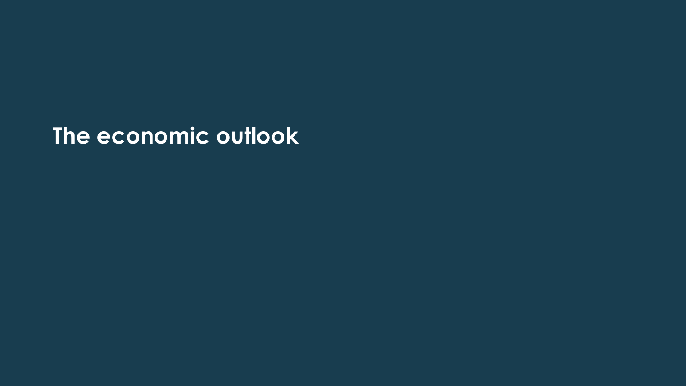**The economic outlook**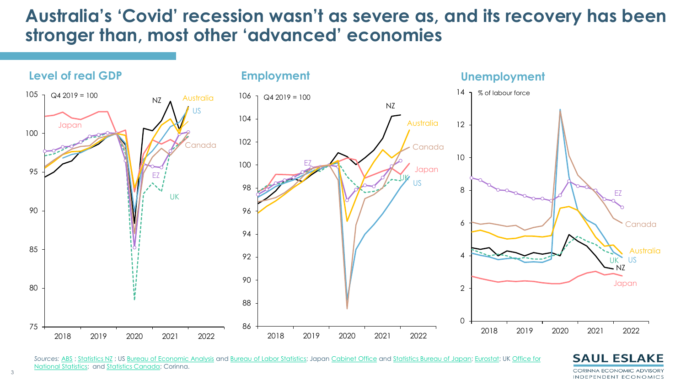### **Australia's 'Covid' recession wasn't as severe as, and its recovery has been stronger than, most other 'advanced' economies**



*Sources:* [ABS](https://www.abs.gov.au/statistics/labour/employment-and-unemployment/labour-force-australia/latest-release) ; [Statistics NZ](https://www.stats.govt.nz/information-releases/labour-market-statistics-june-2021-quarter) ; US [Bureau of Economic Analysis](https://www.bea.gov/data/gdp/gross-domestic-product) and [Bureau of Labor Statistics;](https://www.bls.gov/news.release/empsit.toc.htm) Japan [Cabinet Office](https://www.esri.cao.go.jp/en/sna/sokuhou/sokuhou_top.html) and [Statistics Bureau of Japan;](https://www.stat.go.jp/english/data/roudou/index.html) [Eurostat;](https://ec.europa.eu/eurostat/web/national-accounts/overview) UK Office for [National Statistics; and Statistics Canada; Corinna.](https://www.ons.gov.uk/economy/grossdomesticproductgdp) 



3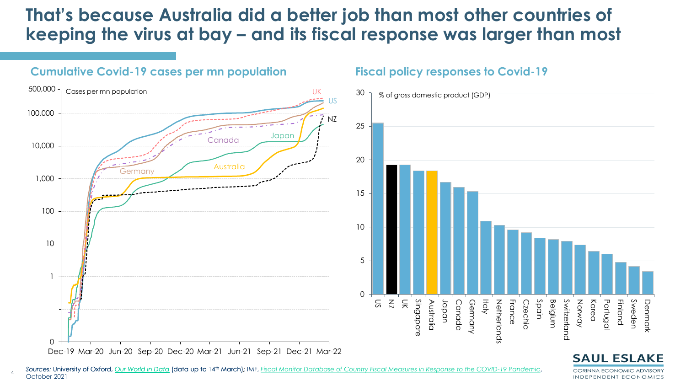### **That was because Australia did a better job than most other countries of That's because Australia did a better job than most other countries of keeping the virus at bay keeping the virus at bay – and its fiscal response was larger than most**



4

#### **Fiscal policy responses to Covid-19**



CORINNA ECONOMIC ADVISORY INDEPENDENT ECONOMICS

Sources: University of Oxford, <u>[Our World in Data](https://ourworldindata.org/coronavirus)</u> (data up to 14<sup>th</sup> March); IMF, *[Fiscal Monitor Database of Country Fiscal Measures in Response to the COVID-19 Pandemic](https://www.imf.org/en/Topics/imf-and-covid19/Fiscal-Policies-Database-in-Response-to-COVID-19),* October 2021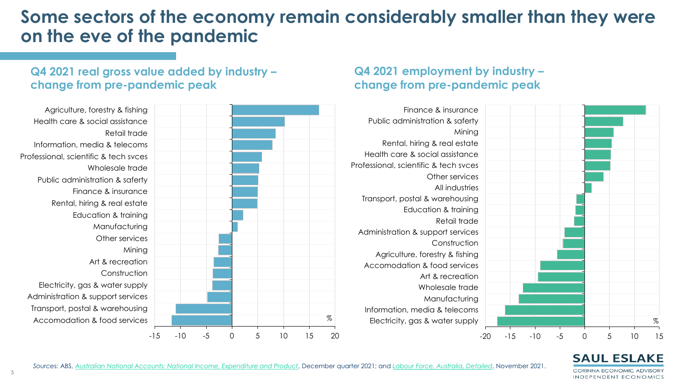### **Some sectors of the economy remain considerably smaller than they were on the eve of the pandemic**

#### **Q4 2021 real gross value added by industry – change from pre-pandemic peak**

#### **Q4 2021 employment by industry – change from pre-pandemic peak**



#### **SAUL ESLAKE** CORINNA ECONOMIC ADVISORY

INDEPENDENT ECONOMICS

*Sources:* ABS, *[Australian National Accounts: National Income, Expenditure and Product](https://www.abs.gov.au/statistics/economy/national-accounts/australian-national-accounts-national-income-expenditure-and-product/latest-release)*, December quarter 2021. 2021; and *[Labour Force, Australia, Detailed](https://www.abs.gov.au/statistics/labour/employment-and-unemployment/labour-force-australia-detailed/aug-2021)*, November 2021.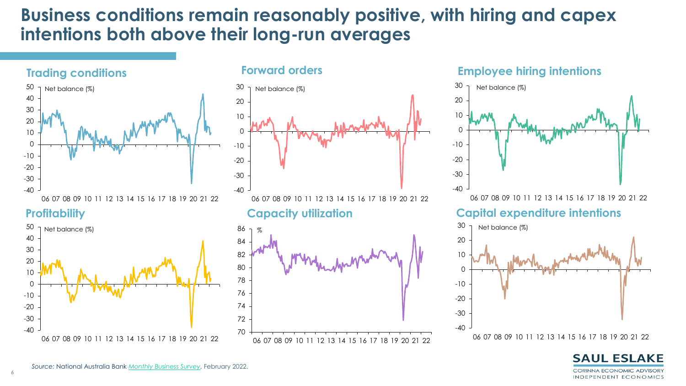### **Business conditions remain reasonably positive, with hiring and capex intentions both above their long-run averages**



#### **Forward orders**





#### **Employee hiring intentions**



#### **Capital expenditure intentions**



**SAUL ESLAKE CORINNA ECONOMIC ADVISORY** INDEPENDENT ECONOMICS

06 07 08 09 10 11 12 13 14 15 16 17 18 19 20 21 22

6

 $-40$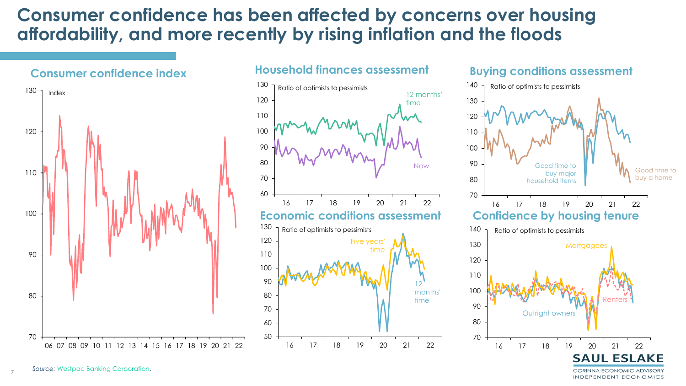### **Consumer confidence has been affected by concerns over housing affordability, and more recently by rising inflation and the floods**





#### **Buying conditions assessment**

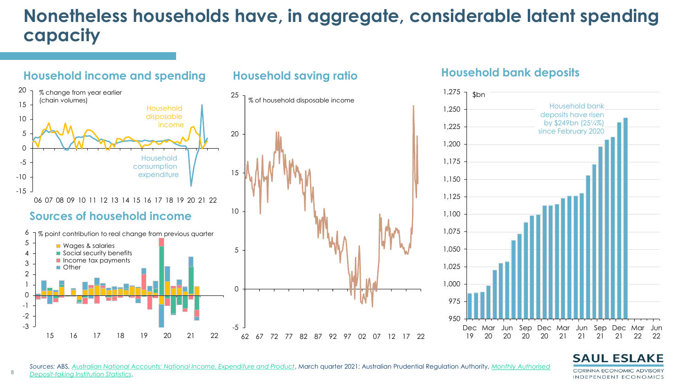## **Nonetheless households have, in aggregate, considerable latent spending capacity**



#### **Household bank deposits**



#### *Sources:* ABS, *[A](https://www.apra.gov.au/monthly-authorised-deposit-taking-institution-statistics)[ustralian National Accounts: National Income, Expenditure and Product](https://www.abs.gov.au/statistics/economy/national-accounts/australian-national-accounts-national-income-expenditure-and-product/latest-release)*, March quarter 2021. 2021; Australian Prudential Regulation Authority, *Monthly Authorised Deposit-taking Institution Statistics*.

#### **SAUL ESLAKE** CORINNA ECONOMIC ADVISORY

INDEPENDENT ECONOMICS

8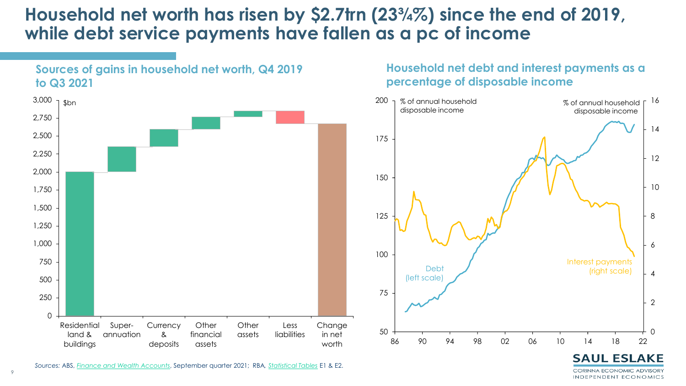### **Household net worth has risen by \$2.7trn (23¾%) since the end of 2019, while debt service payments have fallen as a pc of income**



**Sources of gains in household net worth, Q4 2019** 

#### **Household net debt and interest payments as a percentage of disposable income**



**SAUL ESLAKE** CORINNA ECONOMIC ADVISORY INDEPENDENT ECONOMICS

 $\overline{Q}$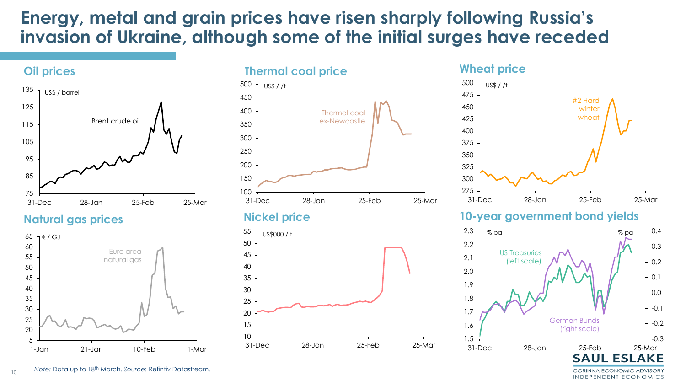### **Energy, metal and grain prices have risen sharply following Russia's invasion of Ukraine, although some of the initial surges have receded**



**Natural gas prices**





#### **Nickel price**



#### 275 300 325 350 375 400 425 450 475 500 31-Dec 28-Jan 25-Feb 25-Mar US\$ / /t #2 Hard winter wheat

#### **10-year government bond yields**



CORINNA ECONOMIC ADVISORY INDEPENDENT ECONOMICS

10 Mote: Data up to 18<sup>th</sup> March. Source: Refintiv Datastream.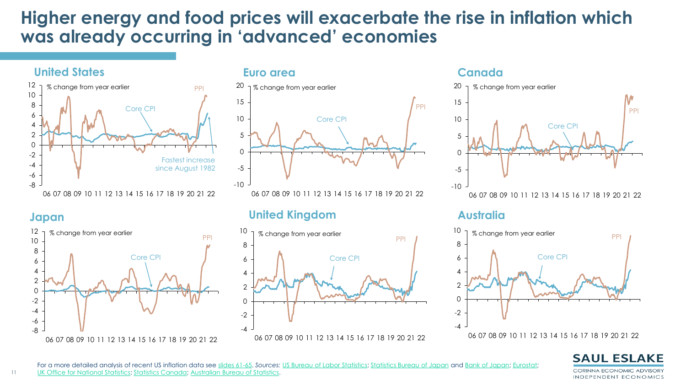### **Higher energy and food prices will exacerbate the rise in inflation which was already occurring in 'advanced' economies**



#### **Japan**



#### **Euro area Canada**



### **United Kingdom**





#### **Australia**

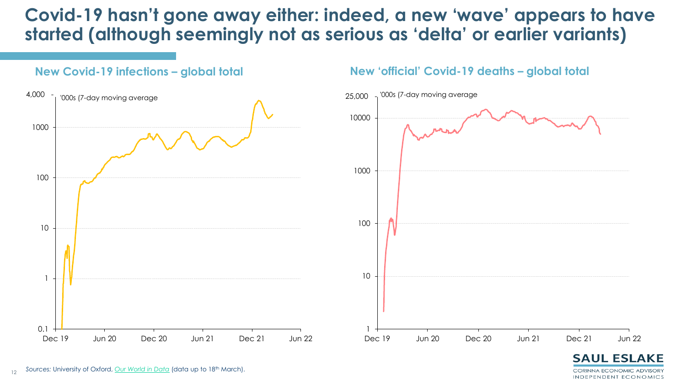### **Covid-19 hasn't gone away either: indeed, a new 'wave' appears to have started (although seemingly not as serious as 'delta' or earlier variants)**

**New 'official' Covid-19 deaths – global total**



**New Covid-19 infections – global total**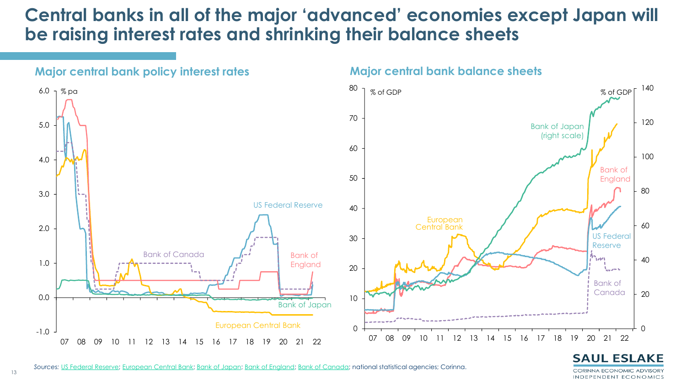### **Central banks in all of the major 'advanced' economies except Japan will be raising interest rates and shrinking their balance sheets**



#### **Major central bank balance sheets**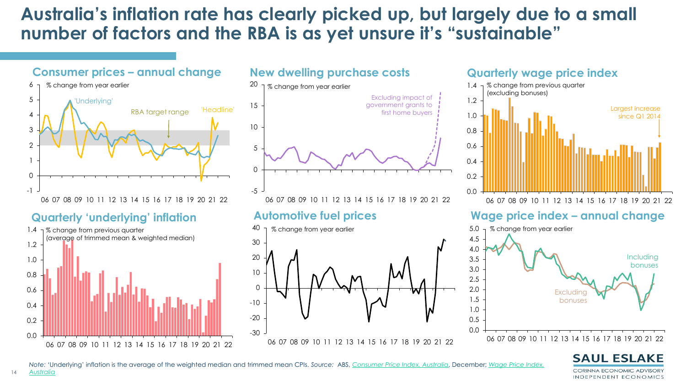### Australia's inflation rate has clearly picked up, but largely due to a small **number of factors number of factors and the RBA is as yet unsure it's "sustainable"**

#### **Consumer prices – annual change**



#### **Quarterly 'underlying' inflation Automotive fuel prices**

14



#### **New dwelling purchase costs**





#### **Quarterly wage price index**



#### **Wage price index – annual change**

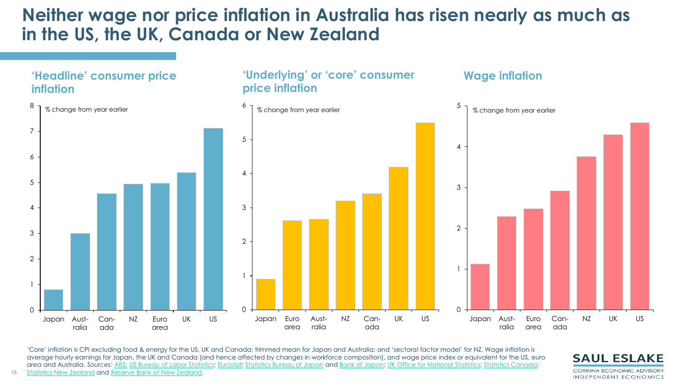### **Neither wage nor price inflation in Australia has risen nearly as much as in the US, the UK, Canada or New Zealand**



'Core' inflation is CPI excluding food & energy for the US, UK and Canada; trimmed mean for Japan and Australia; and 'sectoral factor model' for NZ. Wage inflation is average hourly earnings for Japan, the UK and Canada (and hence affected by changes in workforce composition), and wage price index or equivalent for the US, euro area and Australia. *Sources:* [ABS;](https://www.abs.gov.au/statistics/economy/price-indexes-and-inflation) [US Bureau of Labor Statistics;](https://www.bls.gov/cpi/) [Eurostat;](https://ec.europa.eu/eurostat/web/main/data/database) [Statistics Bureau of Japan](https://www.stat.go.jp/english/data/cpi/index.html) and [Bank of Japan;](https://www.boj.or.jp/en/research/research_data/cpi/index.htm/) [UK Office for National Statistics](https://www.ons.gov.uk/economy/inflationandpriceindices/bulletins/consumerpriceinflation/latest); [Statistics Canada](https://www150.statcan.gc.ca/n1/daily-quotidien/220119/dq220119a-eng.htm?HPA=1&indid=3665-1&indgeo=0); 15 [Statistics New Zealand](https://www.stats.govt.nz/indicators/consumers-price-index-cpi) and [Reserve Bank of New Zealand](https://www.rbnz.govt.nz/statistics/m1).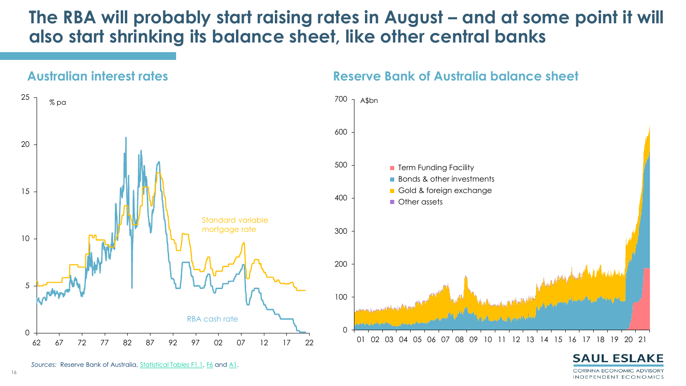### The RBA will probably start raising rates in August – and at some point it will **also start shrinking its balance sheet, like other central banks**



Sources: Reserve Bank of Australia, <u>[Statistical Tables F1.1,](https://www.rba.gov.au/statistics/tables/xls/f01hist.xls?v=2021-11-18-18-37-07) [F6](https://www.rba.gov.au/statistics/tables/xls/f06hist.xls?v=2021-11-18-18-37-07)</u> and <u>A1</u>.

CORINNA ECONOMIC ADVISORY INDEPENDENT ECONOMICS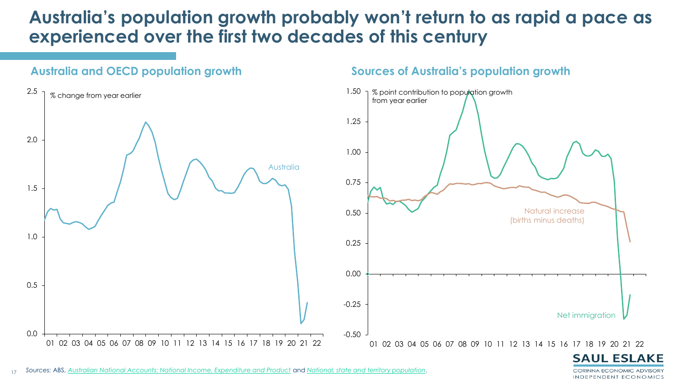### **Australia's population growth probably won't return to as rapid a pace as experienced over the first two decades of this century**



#### **Sources of Australia's population growth**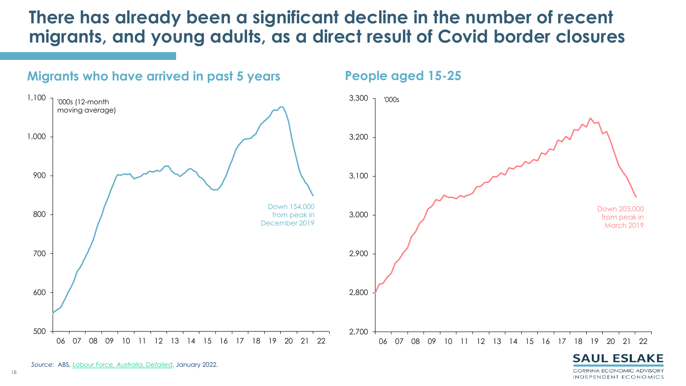### **There has already been a significant decline in the number of recent migrants, and young adults, as a direct result of Covid border closures**



CORINNA ECONOMIC ADVISORY INDEPENDENT ECONOMICS

*Sources:* Reserve Bank of Australia, [Statistical Tables F1.1,](https://www.rba.gov.au/statistics/tables/xls/f01hist.xls?v=2021-11-18-18-37-07) [F6](https://www.rba.gov.au/statistics/tables/xls/f06hist.xls?v=2021-11-18-18-37-07) and [E2](https://www.rba.gov.au/statistics/tables/xls/e02hist.xls?v=2021-11-18-18-37-07). *Source:* ABS F1.1. *, [Labour Force, Australia, Detailed](https://www.abs.gov.au/statistics/labour/employment-and-unemployment/labour-force-australia-detailed)*, January 2022.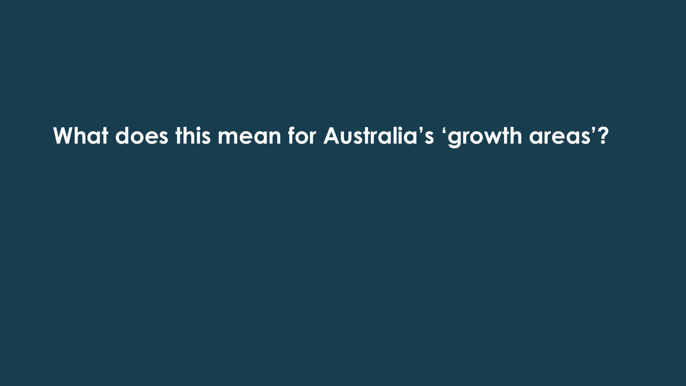# **What does this mean for Australia's 'growth areas'?**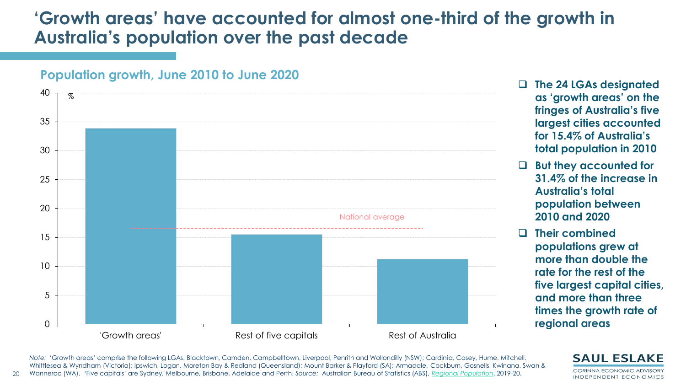### **'Growth areas' have accounted for almost one-third of the growth in Australia's population over the past decade**



**Population growth, June 2010 to June 2020**

**Australia's total population between 2010 and 2020** ❑ **Their combined populations grew at more than double the rate for the rest of the five largest capital cities,** 

❑ **The 24 LGAs designated** 

**as 'growth areas' on the** 

**fringes of Australia's five largest cities accounted** 

**for 15.4% of Australia's** 

❑ **But they accounted for** 

**total population in 2010**

**31.4% of the increase in** 

**and more than three times the growth rate of regional areas** 

20 *Note:* 'Growth areas' comprise the following LGAs: Blacktown, Camden, Campbelltown, Liverpool, Penrith and Wollondilly (NSW); Cardinia, Casey, Hume, Mitchell, Whittlesea & Wyndham (Victoria); Ipswich, Logan, Moreton Bay & Redland (Queensland); Mount Barker & Playford (SA); Armadale, Cockburn, Gosnells, Kwinana, Swan & Wanneroo (WA). 'Five capitals' are Sydney, Melbourne, Brisbane, Adelaide and Perth. *Source:* Australian Bureau of Statistics (ABS), *[Regional Population](https://www.abs.gov.au/statistics/people/population/regional-population/latest-release#data-download)*, 2019-20.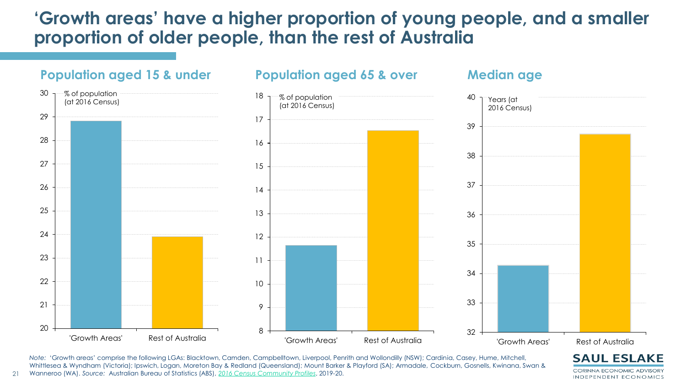### 'Growth areas' have a higher proportion of young people, and a smaller proportion of older people, than the rest of Australia



*Note:* 'Growth areas' comprise the following LGAs: Blacktown, Camden, Campbelltown, Liverpool, Penrith and Wollondilly (NSW); Cardinia, Casey, Hume, Mitchell, Whittlesea & Wyndham (Victoria); Ipswich, Logan, Moreton Bay & Redland (Queensland); Mount Barker & Playford (SA); Armadale, Cockburn, Gosnells, Kwinana, Swan & Wanneroo (WA). *Source:* Australian Bureau of Statistics (ABS), *[2016 Census Community Profiles](https://quickstats.censusdata.abs.gov.au/census_services/getproduct/census/2016/communityprofile/LGA10750?opendocument)*, 2019-20.

**CORINNA ECONOMIC ADVISORY** INDEPENDENT ECONOMICS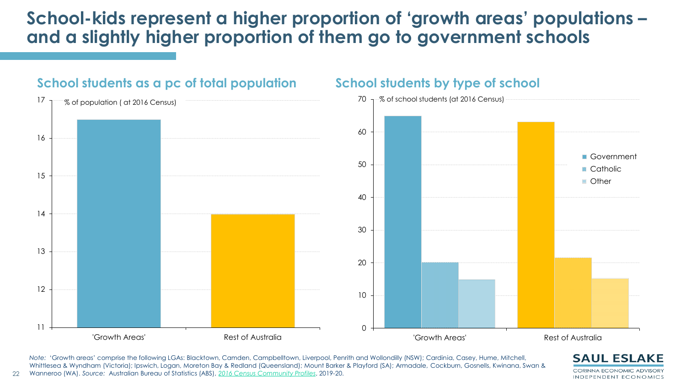## **School-kids represent a higher proportion of 'growth areas' populations – and a slightly higher proportion of them go to government schools**



**School students as a pc of total population**

22

*Note:* 'Growth areas' comprise the following LGAs: Blacktown, Camden, Campbelltown, Liverpool, Penrith and Wollondilly (NSW); Cardinia, Casey, Hume, Mitchell, Whittlesea & Wyndham (Victoria); Ipswich, Logan, Moreton Bay & Redland (Queensland); Mount Barker & Playford (SA); Armadale, Cockburn, Gosnells, Kwinana, Swan & Wanneroo (WA). *Source:* Australian Bureau of Statistics (ABS), *[2016 Census Community Profiles](https://quickstats.censusdata.abs.gov.au/census_services/getproduct/census/2016/communityprofile/LGA10750?opendocument)*, 2019-20.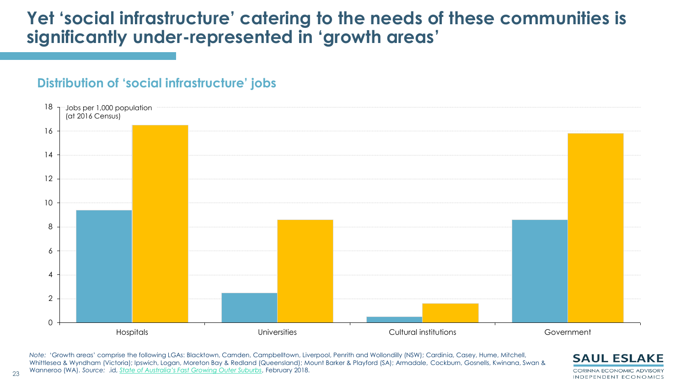### Yet 'social infrastructure' catering to the needs of these communities is **significantly under-represented in 'growth areas'**

### **Distribution of 'social infrastructure' jobs**



*Note:* 'Growth areas' comprise the following LGAs: Blacktown, Camden, Campbelltown, Liverpool, Penrith and Wollondilly (NSW); Cardinia, Casey, Hume, Mitchell, Whittlesea & Wyndham (Victoria); Ipswich, Logan, Moreton Bay & Redland (Queensland); Mount Barker & Playford (SA); Armadale, Cockburn, Gosnells, Kwinana, Swan & Wanneroo (WA). *Source:* .id, *[State of Australia's Fast Growing Outer Suburbs](https://ngaa.org.au/application/third_party/ckfinder/userfiles/files/180213%20NGAA%20State%20of%20the%20Fast%20Growing%20Outer%20Suburbs%20Final%20Report.pdf)*, February 2018.



23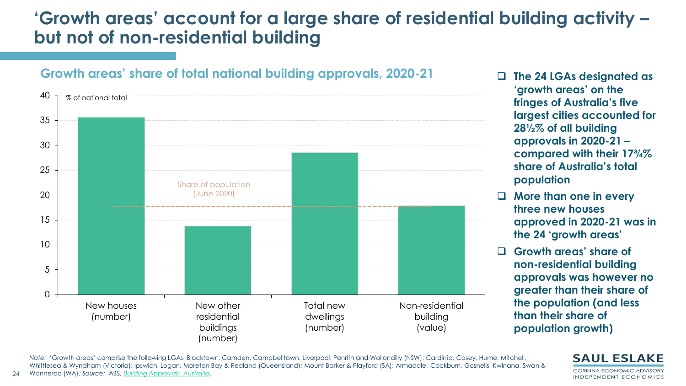## **'Growth areas' account for a large share of residential building activity – but not of non-residential building**



#### **Growth areas' share of total national building approvals, 2020-21**

- ❑ **The 24 LGAs designated as 'growth areas' on the fringes of Australia's five largest cities accounted for 28½% of all building approvals in 2020-21 – compared with their 17¾% share of Australia's total population**
- ❑ **More than one in every three new houses approved in 2020-21 was in the 24 'growth areas'**
- ❑ **Growth areas' share of non-residential building approvals was however no greater than their share of the population (and less than their share of population growth)**

*Note:* 'Growth areas' comprise the following LGAs: Blacktown, Camden, Campbelltown, Liverpool, Penrith and Wollondilly (NSW); Cardinia, Casey, Hume, Mitchell, Whittlesea & Wyndham (Victoria); Ipswich, Logan, Moreton Bay & Redland (Queensland); Mount Barker & Playford (SA); Armadale, Cockburn, Gosnells, Kwinana, Swan & Wanneroo (WA). *Source:* ABS, *[Building Approvals, Australia](https://www.abs.gov.au/statistics/industry/building-and-construction/building-approvals-australia)*.

24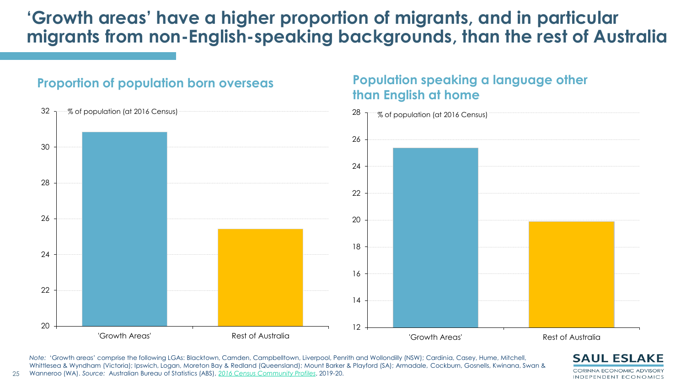### 'Growth areas' have a higher proportion of migrants, and in particular migrants from non-English-speaking backgrounds, than the rest of Australia

**Population speaking a language other** 



**Proportion of population born overseas**

25

*Note:* 'Growth areas' comprise the following LGAs: Blacktown, Camden, Campbelltown, Liverpool, Penrith and Wollondilly (NSW); Cardinia, Casey, Hume, Mitchell, Whittlesea & Wyndham (Victoria); Ipswich, Logan, Moreton Bay & Redland (Queensland); Mount Barker & Playford (SA); Armadale, Cockburn, Gosnells, Kwinana, Swan & Wanneroo (WA). *Source:* Australian Bureau of Statistics (ABS), *[2016 Census Community Profiles](https://quickstats.censusdata.abs.gov.au/census_services/getproduct/census/2016/communityprofile/LGA10750?opendocument)*, 2019-20.

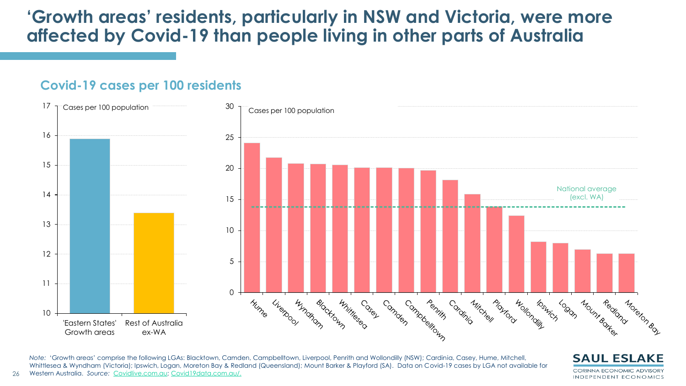### **'Growth areas' residents, particularly in NSW and Victoria, were more affected by Covid-19 than people living in other parts of Australia**

#### **Covid-19 cases per 100 residents**

26



*Note:* 'Growth areas' comprise the following LGAs: Blacktown, Camden, Campbelltown, Liverpool, Penrith and Wollondilly (NSW); Cardinia, Casey, Hume, Mitchell, Whittlesea & Wyndham (Victoria); Ipswich, Logan, Moreton Bay & Redland (Queensland); Mount Barker & Playford (SA). Data on Covid-19 cases by LGA not available for Western Australia. *Source:* [Covidlive.com.au](https://covidlive.com.au/); [Covid19data.com.au/.](https://www.covid19data.com.au/) 

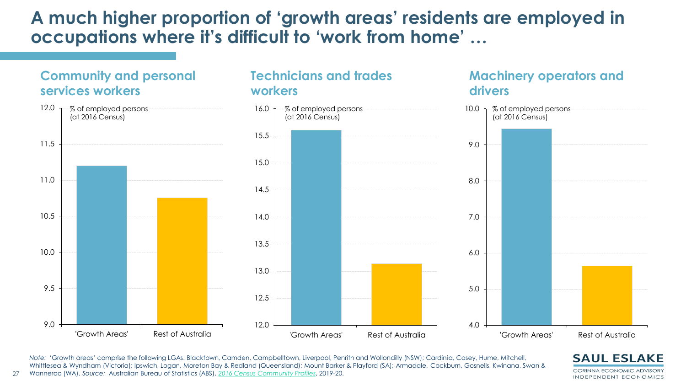### **A much higher proportion of 'growth areas' residents are employed in occupations where it's difficult to 'work from home' …**

**Technicians and trades** 

**workers**



27



*Note:* 'Growth areas' comprise the following LGAs: Blacktown, Camden, Campbelltown, Liverpool, Penrith and Wollondilly (NSW); Cardinia, Casey, Hume, Mitchell, Whittlesea & Wyndham (Victoria); Ipswich, Logan, Moreton Bay & Redland (Queensland); Mount Barker & Playford (SA); Armadale, Cockburn, Gosnells, Kwinana, Swan & Wanneroo (WA). *Source:* Australian Bureau of Statistics (ABS), *[2016 Census Community Profiles](https://quickstats.censusdata.abs.gov.au/census_services/getproduct/census/2016/communityprofile/LGA10750?opendocument)*, 2019-20.



**Machinery operators and** 

**drivers**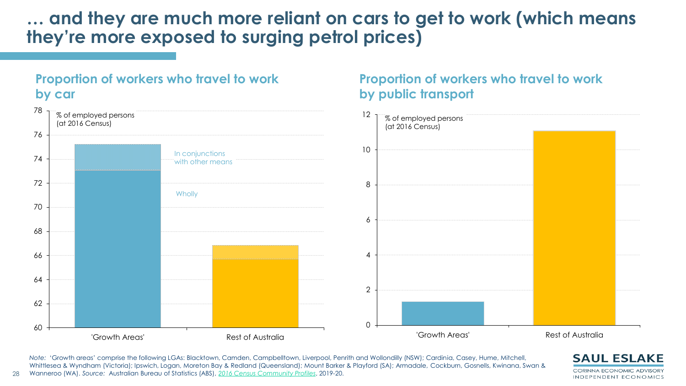### **… and they are much more reliant on cars to get to work (which means they're more exposed to surging petrol prices)**

**Proportion of workers who travel to work** 



**Proportion of workers who travel to work by public transport**

*Note:* 'Growth areas' comprise the following LGAs: Blacktown, Camden, Campbelltown, Liverpool, Penrith and Wollondilly (NSW); Cardinia, Casey, Hume, Mitchell, Whittlesea & Wyndham (Victoria); Ipswich, Logan, Moreton Bay & Redland (Queensland); Mount Barker & Playford (SA); Armadale, Cockburn, Gosnells, Kwinana, Swan & Wanneroo (WA). *Source:* Australian Bureau of Statistics (ABS), *[2016 Census Community Profiles](https://quickstats.censusdata.abs.gov.au/census_services/getproduct/census/2016/communityprofile/LGA10750?opendocument)*, 2019-20.



28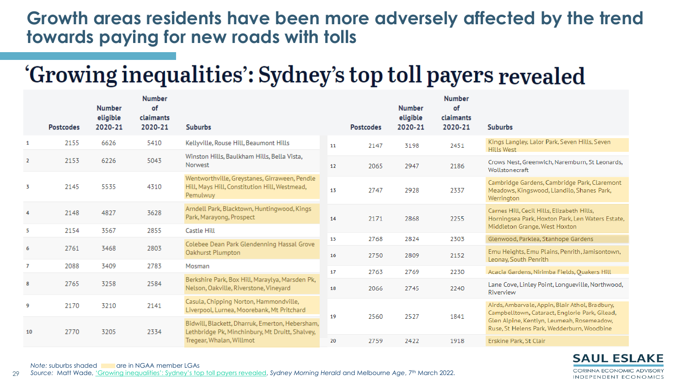### **Growth areas residents have been more adversely affected by the trend towards paying for new roads with tolls**

# 'Growing inequalities': Sydney's top toll payers revealed

|                | <b>Postcodes</b> | <b>Number</b><br>eligible<br>2020-21 | <b>Number</b><br>of<br>claimants<br>2020-21 | <b>Suburbs</b>                                                                                                                 |    | <b>Postcodes</b> | <b>Number</b><br>eligible<br>2020-21 | <b>Number</b><br>of<br>claimants<br>2020-21 | <b>Suburbs</b>                                                                                                                  |
|----------------|------------------|--------------------------------------|---------------------------------------------|--------------------------------------------------------------------------------------------------------------------------------|----|------------------|--------------------------------------|---------------------------------------------|---------------------------------------------------------------------------------------------------------------------------------|
| 1              | 2155             | 6626                                 | 5410                                        | Kellyville, Rouse Hill, Beaumont Hills                                                                                         | 11 | 2147             | 3198                                 | 2451                                        | Kings Langley, Lalor Park, Seven Hills, Seven<br><b>Hills West</b>                                                              |
| 2              | 2153             | 6226                                 | 5043                                        | Winston Hills, Baulkham Hills, Bella Vista,<br>Norwest                                                                         | 12 | 2065             | 2947                                 | 2186                                        | Crows Nest, Greenwich, Naremburn, St Leonards,<br>Wollstonecraft                                                                |
| 3              | 2145             | 5535                                 | 4310                                        | Wentworthville, Greystanes, Girraween, Pendle<br>Hill, Mays Hill, Constitution Hill, Westmead,<br>Pemulwuy                     | 13 | 2747             | 2928                                 | 2337                                        | Cambridge Gardens, Cambridge Park, Claremont<br>Meadows, Kingswood, Llandilo, Shanes Park,<br>Werrington                        |
| 4              | 2148             | 4827                                 | 3628                                        | Arndell Park, Blacktown, Huntingwood, Kings<br>Park, Marayong, Prospect                                                        | 14 | 2171             | 2868                                 | 2255                                        | Carnes Hill, Cecil Hills, Elizabeth Hills,<br>Horningsea Park, Hoxton Park, Len Waters Estate,<br>Middleton Grange, West Hoxton |
| 5              | 2154             | 3567                                 | 2855                                        | Castle Hill                                                                                                                    | 15 | 2768             | 2824                                 | 2303                                        | Glenwood, Parklea, Stanhope Gardens                                                                                             |
| 6              | 2761             | 3468                                 | 2803                                        | Colebee Dean Park Glendenning Hassal Grove<br>Oakhurst Plumpton                                                                | 16 | 2750             | 2809                                 | 2152                                        | Emu Heights, Emu Plains, Penrith, Jamisontown,<br>Leonay, South Penrith                                                         |
| $\overline{7}$ | 2088             | 3409                                 | 2783                                        | Mosman                                                                                                                         | 17 | 2763             | 2769                                 | 2230                                        | Acacia Gardens, Nirimba Fields, Quakers Hill                                                                                    |
| 8              | 2765             | 3258                                 | 2584                                        | Berkshire Park, Box Hill, Maraylya, Marsden Pk,<br>Nelson, Oakville, Riverstone, Vineyard                                      | 18 | 2066             | 2745                                 | 2240                                        | Lane Cove, Linley Point, Longueville, Northwood,<br>Riverview                                                                   |
| 9              | 2170             | 3210                                 | 2141                                        | Casula, Chipping Norton, Hammondville,<br>Liverpool, Lurnea, Moorebank, Mt Pritchard                                           | 19 | 2560             | 2527                                 | 1841                                        | Airds, Ambarvale, Appin, Blair Athol, Bradbury,<br>Campbelltown, Cataract, Englorie Park, Gilead,                               |
| 10             | 2770             | 3205                                 | 2334                                        | Bidwill, Blackett, Dharruk, Emerton, Hebersham,<br>Lethbridge Pk, Minchinbury, Mt Druitt, Shalvey,<br>Tregear, Whalan, Willmot |    |                  |                                      |                                             | Glen Alpine, Kentlyn, Leumeah, Rosemeadow,<br>Ruse, St Helens Park, Wedderburn, Woodbine                                        |
|                |                  |                                      |                                             |                                                                                                                                | 20 | 2759             | 2422                                 | 1918                                        | Erskine Park, St Clair                                                                                                          |

**SAUL ESLAKE CORINNA ECONOMIC ADVISORY** INDEPENDENT ECONOMICS

#### 29 *Source:* Matt Wade, ['Growing inequalities': Sydney's top toll payers revealed](https://www.theage.com.au/national/nsw/growing-inequalities-sydney-s-top-toll-payers-revealed-20220301-p5a0nr.html?ref=rss), *Sydney Morning Herald* and Melbourne *Age*, 7th March 2022. **Note: suburbs shaded are in NGAA member LGAs**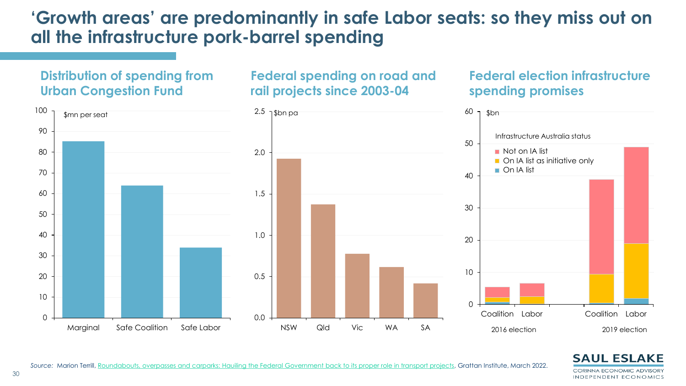### **'Growth areas' are predominantly in safe Labor seats: so they miss out on all the infrastructure pork-barrel spending**





**Federal election infrastructure** 

Source: Marion Terrill, Roundabouts, overpasses and carparks: Hauiling [the Federal Government back to its proper role in transport projects,](https://grattan.edu.au/wp-content/uploads/2022/03/Roundabouts-overpasses-carparks-Grattan-Report.pdf) Grattan Institute, March 2022.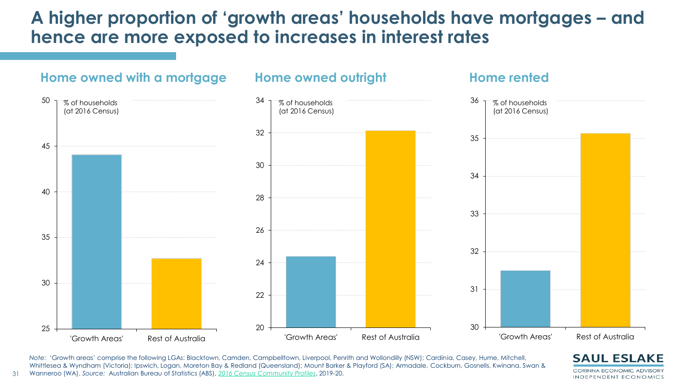### **A higher proportion of 'growth areas' households have mortgages – and hence are more exposed to increases in interest rates**



*Note:* 'Growth areas' comprise the following LGAs: Blacktown, Camden, Campbelltown, Liverpool, Penrith and Wollondilly (NSW); Cardinia, Casey, Hume, Mitchell, Whittlesea & Wyndham (Victoria); Ipswich, Logan, Moreton Bay & Redland (Queensland); Mount Barker & Playford (SA); Armadale, Cockburn, Gosnells, Kwinana, Swan & Wanneroo (WA). *Source:* Australian Bureau of Statistics (ABS), *[2016 Census Community Profiles](https://quickstats.censusdata.abs.gov.au/census_services/getproduct/census/2016/communityprofile/LGA10750?opendocument)*, 2019-20.



31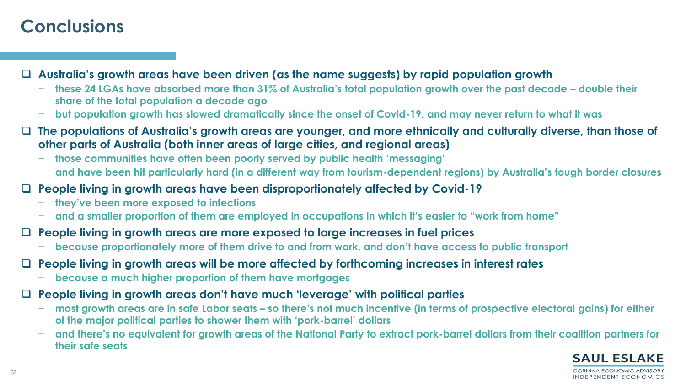### **Conclusions**

❑ **Australia's growth areas have been driven (as the name suggests) by rapid population growth** 

- − **these 24 LGAs have absorbed more than 31% of Australia's total population growth over the past decade – double their share of the total population a decade ago**
- − **but population growth has slowed dramatically since the onset of Covid-19, and may never return to what it was**
- ❑ **The populations of Australia's growth areas are younger, and more ethnically and culturally diverse, than those of other parts of Australia (both inner areas of large cities, and regional areas)**
	- − **those communities have often been poorly served by public health 'messaging'**
	- − **and have been hit particularly hard (in a different way from tourism-dependent regions) by Australia's tough border closures**
- ❑ **People living in growth areas have been disproportionately affected by Covid-19**
	- − **they've been more exposed to infections**
	- − **and a smaller proportion of them are employed in occupations in which it's easier to "work from home"**
- ❑ **People living in growth areas are more exposed to large increases in fuel prices**
	- − **because proportionately more of them drive to and from work, and don't have access to public transport**
- ❑ **People living in growth areas will be more affected by forthcoming increases in interest rates**
	- − **because a much higher proportion of them have mortgages**
- ❑ **People living in growth areas don't have much 'leverage' with political parties**
	- − **most growth areas are in safe Labor seats – so there's not much incentive (in terms of prospective electoral gains) for either of the major political parties to shower them with 'pork-barrel' dollars**
	- − **and there's no equivalent for growth areas of the National Party to extract pork-barrel dollars from their coalition partners for their safe seats**